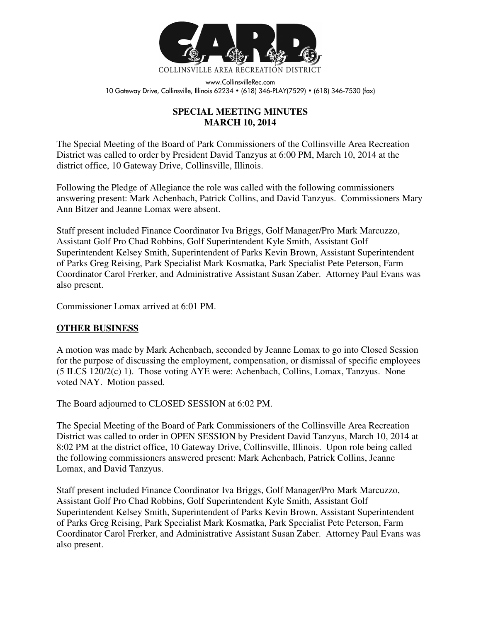

www.CollinsvilleRec.com 10 Gateway Drive, Collinsville, Illinois 62234 • (618) 346-PLAY(7529) • (618) 346-7530 (fax)

## **SPECIAL MEETING MINUTES MARCH 10, 2014**

The Special Meeting of the Board of Park Commissioners of the Collinsville Area Recreation District was called to order by President David Tanzyus at 6:00 PM, March 10, 2014 at the district office, 10 Gateway Drive, Collinsville, Illinois.

Following the Pledge of Allegiance the role was called with the following commissioners answering present: Mark Achenbach, Patrick Collins, and David Tanzyus. Commissioners Mary Ann Bitzer and Jeanne Lomax were absent.

Staff present included Finance Coordinator Iva Briggs, Golf Manager/Pro Mark Marcuzzo, Assistant Golf Pro Chad Robbins, Golf Superintendent Kyle Smith, Assistant Golf Superintendent Kelsey Smith, Superintendent of Parks Kevin Brown, Assistant Superintendent of Parks Greg Reising, Park Specialist Mark Kosmatka, Park Specialist Pete Peterson, Farm Coordinator Carol Frerker, and Administrative Assistant Susan Zaber. Attorney Paul Evans was also present.

Commissioner Lomax arrived at 6:01 PM.

## **OTHER BUSINESS**

A motion was made by Mark Achenbach, seconded by Jeanne Lomax to go into Closed Session for the purpose of discussing the employment, compensation, or dismissal of specific employees (5 ILCS 120/2(c) 1). Those voting AYE were: Achenbach, Collins, Lomax, Tanzyus. None voted NAY. Motion passed.

The Board adjourned to CLOSED SESSION at 6:02 PM.

The Special Meeting of the Board of Park Commissioners of the Collinsville Area Recreation District was called to order in OPEN SESSION by President David Tanzyus, March 10, 2014 at 8:02 PM at the district office, 10 Gateway Drive, Collinsville, Illinois. Upon role being called the following commissioners answered present: Mark Achenbach, Patrick Collins, Jeanne Lomax, and David Tanzyus.

Staff present included Finance Coordinator Iva Briggs, Golf Manager/Pro Mark Marcuzzo, Assistant Golf Pro Chad Robbins, Golf Superintendent Kyle Smith, Assistant Golf Superintendent Kelsey Smith, Superintendent of Parks Kevin Brown, Assistant Superintendent of Parks Greg Reising, Park Specialist Mark Kosmatka, Park Specialist Pete Peterson, Farm Coordinator Carol Frerker, and Administrative Assistant Susan Zaber. Attorney Paul Evans was also present.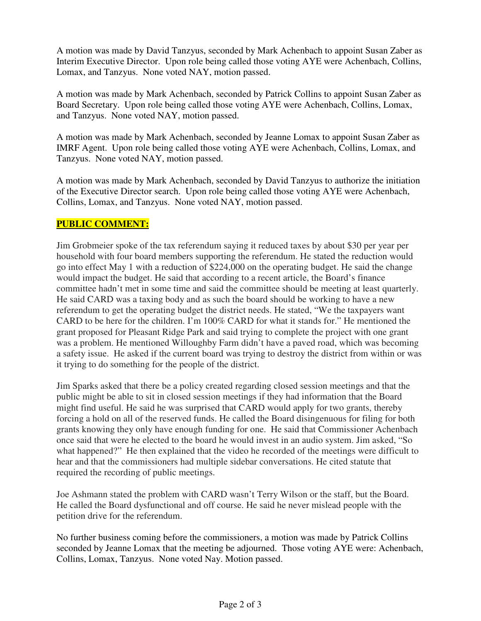A motion was made by David Tanzyus, seconded by Mark Achenbach to appoint Susan Zaber as Interim Executive Director. Upon role being called those voting AYE were Achenbach, Collins, Lomax, and Tanzyus. None voted NAY, motion passed.

A motion was made by Mark Achenbach, seconded by Patrick Collins to appoint Susan Zaber as Board Secretary. Upon role being called those voting AYE were Achenbach, Collins, Lomax, and Tanzyus. None voted NAY, motion passed.

A motion was made by Mark Achenbach, seconded by Jeanne Lomax to appoint Susan Zaber as IMRF Agent. Upon role being called those voting AYE were Achenbach, Collins, Lomax, and Tanzyus. None voted NAY, motion passed.

A motion was made by Mark Achenbach, seconded by David Tanzyus to authorize the initiation of the Executive Director search. Upon role being called those voting AYE were Achenbach, Collins, Lomax, and Tanzyus. None voted NAY, motion passed.

## **PUBLIC COMMENT:**

Jim Grobmeier spoke of the tax referendum saying it reduced taxes by about \$30 per year per household with four board members supporting the referendum. He stated the reduction would go into effect May 1 with a reduction of \$224,000 on the operating budget. He said the change would impact the budget. He said that according to a recent article, the Board's finance committee hadn't met in some time and said the committee should be meeting at least quarterly. He said CARD was a taxing body and as such the board should be working to have a new referendum to get the operating budget the district needs. He stated, "We the taxpayers want CARD to be here for the children. I'm 100% CARD for what it stands for." He mentioned the grant proposed for Pleasant Ridge Park and said trying to complete the project with one grant was a problem. He mentioned Willoughby Farm didn't have a paved road, which was becoming a safety issue. He asked if the current board was trying to destroy the district from within or was it trying to do something for the people of the district.

Jim Sparks asked that there be a policy created regarding closed session meetings and that the public might be able to sit in closed session meetings if they had information that the Board might find useful. He said he was surprised that CARD would apply for two grants, thereby forcing a hold on all of the reserved funds. He called the Board disingenuous for filing for both grants knowing they only have enough funding for one. He said that Commissioner Achenbach once said that were he elected to the board he would invest in an audio system. Jim asked, "So what happened?" He then explained that the video he recorded of the meetings were difficult to hear and that the commissioners had multiple sidebar conversations. He cited statute that required the recording of public meetings.

Joe Ashmann stated the problem with CARD wasn't Terry Wilson or the staff, but the Board. He called the Board dysfunctional and off course. He said he never mislead people with the petition drive for the referendum.

No further business coming before the commissioners, a motion was made by Patrick Collins seconded by Jeanne Lomax that the meeting be adjourned. Those voting AYE were: Achenbach, Collins, Lomax, Tanzyus. None voted Nay. Motion passed.